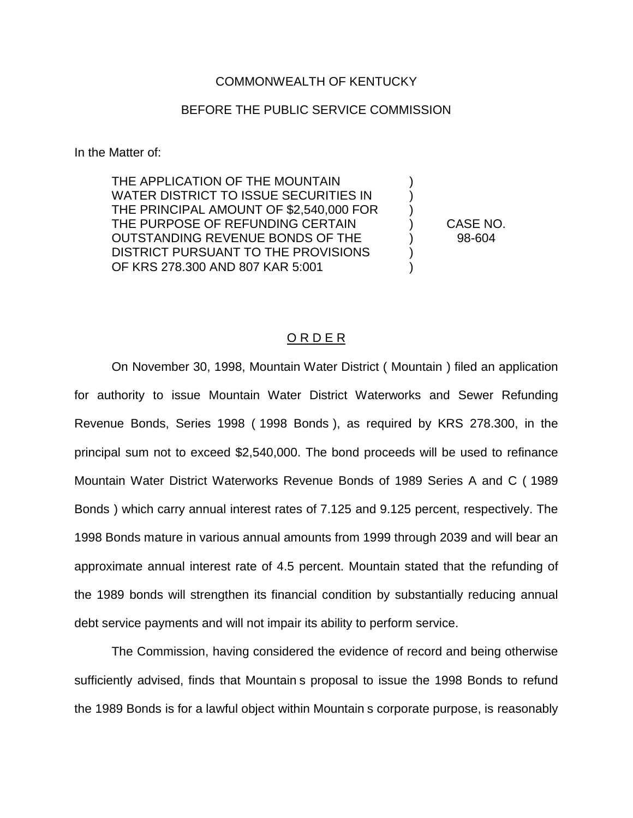## COMMONWEALTH OF KENTUCKY

## BEFORE THE PUBLIC SERVICE COMMISSION

In the Matter of:

THE APPLICATION OF THE MOUNTAIN ) WATER DISTRICT TO ISSUE SECURITIES IN ) THE PRINCIPAL AMOUNT OF \$2,540,000 FOR ) THE PURPOSE OF REFUNDING CERTAIN ) CASE NO. OUTSTANDING REVENUE BONDS OF THE ) 98-604 DISTRICT PURSUANT TO THE PROVISIONS OF KRS 278.300 AND 807 KAR 5:001 )

## O R D E R

On November 30, 1998, Mountain Water District ( Mountain ) filed an application for authority to issue Mountain Water District Waterworks and Sewer Refunding Revenue Bonds, Series 1998 ( 1998 Bonds ), as required by KRS 278.300, in the principal sum not to exceed \$2,540,000. The bond proceeds will be used to refinance Mountain Water District Waterworks Revenue Bonds of 1989 Series A and C ( 1989 Bonds ) which carry annual interest rates of 7.125 and 9.125 percent, respectively. The 1998 Bonds mature in various annual amounts from 1999 through 2039 and will bear an approximate annual interest rate of 4.5 percent. Mountain stated that the refunding of the 1989 bonds will strengthen its financial condition by substantially reducing annual debt service payments and will not impair its ability to perform service.

The Commission, having considered the evidence of record and being otherwise sufficiently advised, finds that Mountain s proposal to issue the 1998 Bonds to refund the 1989 Bonds is for a lawful object within Mountain s corporate purpose, is reasonably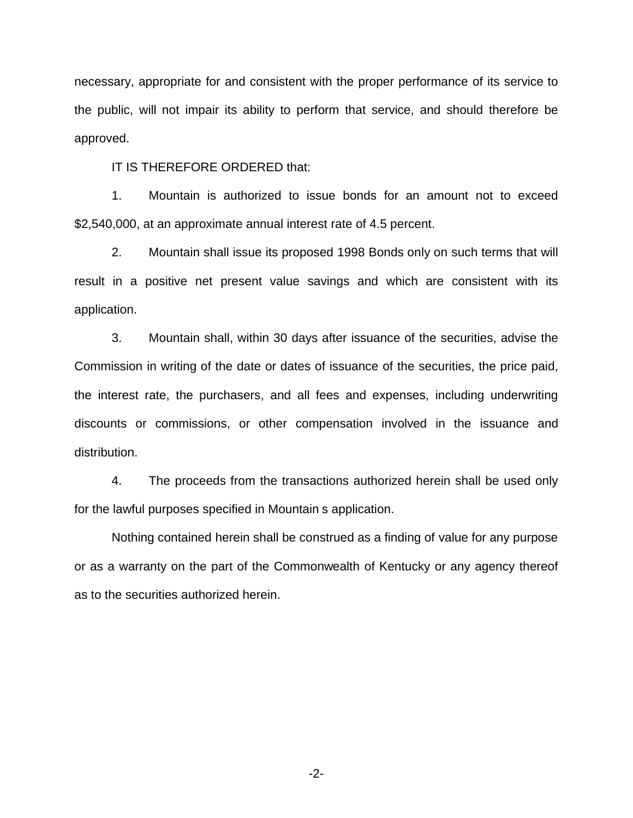necessary, appropriate for and consistent with the proper performance of its service to the public, will not impair its ability to perform that service, and should therefore be approved.

IT IS THEREFORE ORDERED that:

1. Mountain is authorized to issue bonds for an amount not to exceed \$2,540,000, at an approximate annual interest rate of 4.5 percent.

2. Mountain shall issue its proposed 1998 Bonds only on such terms that will result in a positive net present value savings and which are consistent with its application.

3. Mountain shall, within 30 days after issuance of the securities, advise the Commission in writing of the date or dates of issuance of the securities, the price paid, the interest rate, the purchasers, and all fees and expenses, including underwriting discounts or commissions, or other compensation involved in the issuance and distribution.

4. The proceeds from the transactions authorized herein shall be used only for the lawful purposes specified in Mountain s application.

Nothing contained herein shall be construed as a finding of value for any purpose or as a warranty on the part of the Commonwealth of Kentucky or any agency thereof as to the securities authorized herein.

-2-